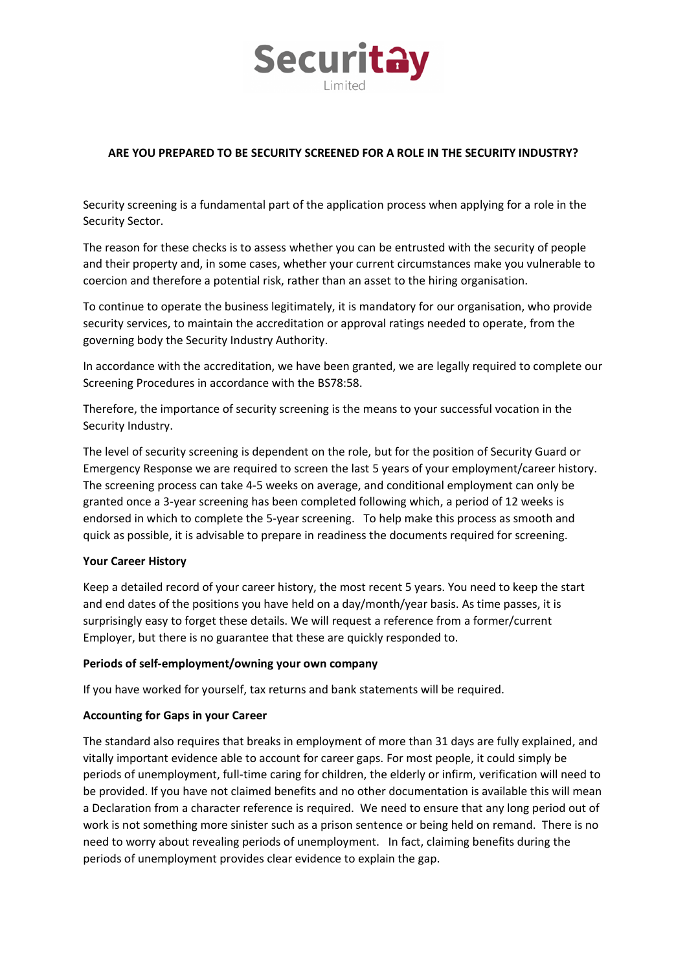

# **ARE YOU PREPARED TO BE SECURITY SCREENED FOR A ROLE IN THE SECURITY INDUSTRY?**

Security screening is a fundamental part of the application process when applying for a role in the Security Sector.

The reason for these checks is to assess whether you can be entrusted with the security of people and their property and, in some cases, whether your current circumstances make you vulnerable to coercion and therefore a potential risk, rather than an asset to the hiring organisation.

To continue to operate the business legitimately, it is mandatory for our organisation, who provide security services, to maintain the accreditation or approval ratings needed to operate, from the governing body the Security Industry Authority.

In accordance with the accreditation, we have been granted, we are legally required to complete our Screening Procedures in accordance with the BS78:58.

Therefore, the importance of security screening is the means to your successful vocation in the Security Industry.

The level of security screening is dependent on the role, but for the position of Security Guard or Emergency Response we are required to screen the last 5 years of your employment/career history. The screening process can take 4-5 weeks on average, and conditional employment can only be granted once a 3-year screening has been completed following which, a period of 12 weeks is endorsed in which to complete the 5-year screening. To help make this process as smooth and quick as possible, it is advisable to prepare in readiness the documents required for screening.

### **Your Career History**

Keep a detailed record of your career history, the most recent 5 years. You need to keep the start and end dates of the positions you have held on a day/month/year basis. As time passes, it is surprisingly easy to forget these details. We will request a reference from a former/current Employer, but there is no guarantee that these are quickly responded to.

#### **Periods of self-employment/owning your own company**

If you have worked for yourself, tax returns and bank statements will be required.

### **Accounting for Gaps in your Career**

The standard also requires that breaks in employment of more than 31 days are fully explained, and vitally important evidence able to account for career gaps. For most people, it could simply be periods of unemployment, full-time caring for children, the elderly or infirm, verification will need to be provided. If you have not claimed benefits and no other documentation is available this will mean a Declaration from a character reference is required. We need to ensure that any long period out of work is not something more sinister such as a prison sentence or being held on remand. There is no need to worry about revealing periods of unemployment. In fact, claiming benefits during the periods of unemployment provides clear evidence to explain the gap.